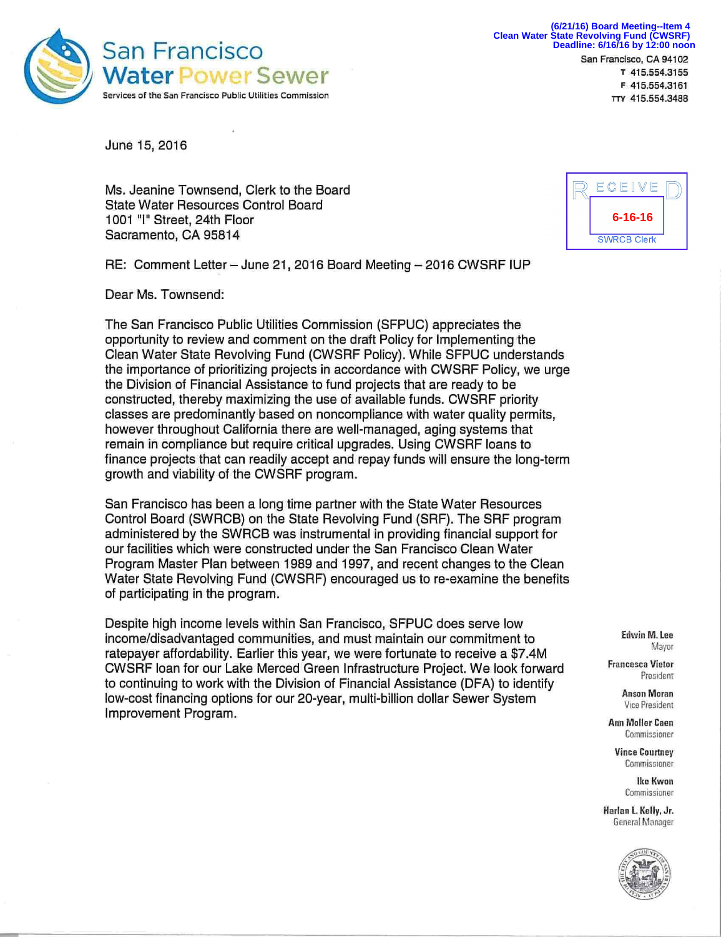

**Deadline: 6/16/16 by 12:00 noon (6/21/16) Board Meeting--Item 4 Clean Water State Revolving Fund (CWSRF)**

San Francisco, CA 94102 **T** 415.554.3155 **F** 415.554.3161 **TTY** 415.554.3488

June 15, 2016

Ms. Jeanine Townsend, Clerk to the Board State Water Resources Control Board 1001 "I" Street, 24th Floor Sacramento, CA 95814

RE: Comment Letter - June 21, 2016 Board Meeting - 2016 CWSRF IUP

Dear Ms. Townsend:

The San Francisco Public Utilities Commission (SFPUC) appreciates the opportunity to review and comment on the draft Policy for Implementing the Clean Water State Revolving Fund (CWSRF Policy). While SFPUC understands the importance of prioritizing projects in accordance with CWSRF Policy, we urge the Division of Financial Assistance to fund projects that are ready to be constructed, thereby maximizing the use of available funds. CWSRF priority classes are predominantly based on noncompliance with water quality permits, however throughout California there are well-managed, aging systems that remain in compliance but require critical upgrades. Using CWSRF loans to finance projects that can readily accept and repay funds will ensure the long-term growth and viability of the CWSRF program.

San Francisco has been a long time partner with the State Water Resources Control Board (SWRCB) on the State Revolving Fund (SRF). The SRF program administered by the SWRCB was instrumental in providing financial support for our facilities which were constructed under the San Francisco Clean Water Program Master Plan between 1989 and 1997, and recent changes to the Clean Water State Revolving Fund (CWSRF) encouraged us to re-examine the benefits of participating in the program.

Despite high income levels within San Francisco, SFPUC does serve low income/disadvantaged communities, and must maintain our commitment to ratepayer affordability. Earlier this year, we were fortunate to receive a \$7.4M CWSRF loan for our Lake Merced Green Infrastructure Project. We look forward to continuing to work with the Division of Financial Assistance (DFA) to identify low-cost financing options for our 20-year, multi-billion dollar Sewer System Improvement Program.



**Edwin M. Lee Mayor** 

**Francesca Vietor President** 

> **Anson Moran Vice President**

**Ann Moller Caen Commissioner** 

**Vince Courtney Commissioner** 

> **Ike Kwon Commissioner**

**Harlan L. Kelly, Jr. General Manager**